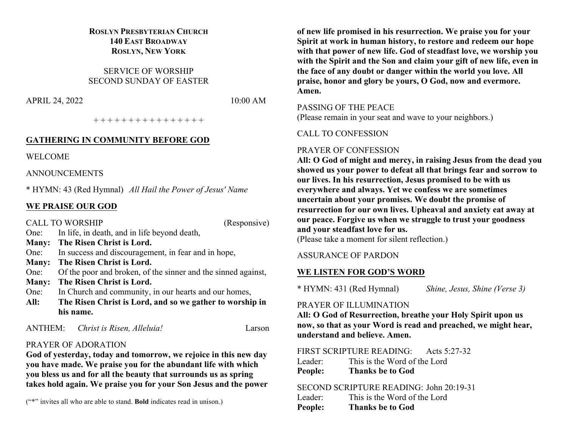# **ROSLYN PRESBYTERIAN CHURCH 140 EAST BROADWAY ROSLYN, NEW YORK**

SERVICE OF WORSHIP SECOND SUNDAY OF EASTER

APRIL 24, 2022 10:00 AM

+ + + + + + + + + + + + + + + +

#### **GATHERING IN COMMUNITY BEFORE GOD**

WELCOME

ANNOUNCEMENTS

\* HYMN: 43 (Red Hymnal) *All Hail the Power of Jesus' Name*

## **WE PRAISE OUR GOD**

CALL TO WORSHIP (Responsive) One: In life, in death, and in life beyond death, **Many: The Risen Christ is Lord.** One: In success and discouragement, in fear and in hope, **Many: The Risen Christ is Lord.** One: Of the poor and broken, of the sinner and the sinned against, **Many: The Risen Christ is Lord.** One: In Church and community, in our hearts and our homes, **All: The Risen Christ is Lord, and so we gather to worship in his name.**

ANTHEM: *Christ is Risen, Alleluia!* Larson

# PRAYER OF ADORATION

**God of yesterday, today and tomorrow, we rejoice in this new day you have made. We praise you for the abundant life with which you bless us and for all the beauty that surrounds us as spring takes hold again. We praise you for your Son Jesus and the power** 

("\*" invites all who are able to stand. **Bold** indicates read in unison.)

**of new life promised in his resurrection. We praise you for your Spirit at work in human history, to restore and redeem our hope with that power of new life. God of steadfast love, we worship you with the Spirit and the Son and claim your gift of new life, even in the face of any doubt or danger within the world you love. All praise, honor and glory be yours, O God, now and evermore. Amen.** 

#### PASSING OF THE PEACE

(Please remain in your seat and wave to your neighbors.)

#### CALL TO CONFESSION

## PRAYER OF CONFESSION

**All: O God of might and mercy, in raising Jesus from the dead you showed us your power to defeat all that brings fear and sorrow to our lives. In his resurrection, Jesus promised to be with us everywhere and always. Yet we confess we are sometimes uncertain about your promises. We doubt the promise of resurrection for our own lives. Upheaval and anxiety eat away at our peace. Forgive us when we struggle to trust your goodness and your steadfast love for us.**  (Please take a moment for silent reflection.)

#### ASSURANCE OF PARDON

#### **WE LISTEN FOR GOD'S WORD**

\* HYMN: 431 (Red Hymnal) *Shine, Jesus, Shine (Verse 3)*

# PRAYER OF ILLUMINATION

**All: O God of Resurrection, breathe your Holy Spirit upon us now, so that as your Word is read and preached, we might hear, understand and believe. Amen.**

# FIRST SCRIPTURE READING: Acts 5:27-32

Leader: This is the Word of the Lord **People: Thanks be to God**

#### SECOND SCRIPTURE READING: John 20:19-31

| Leader: | This is the Word of the Lord |
|---------|------------------------------|
| People: | <b>Thanks be to God</b>      |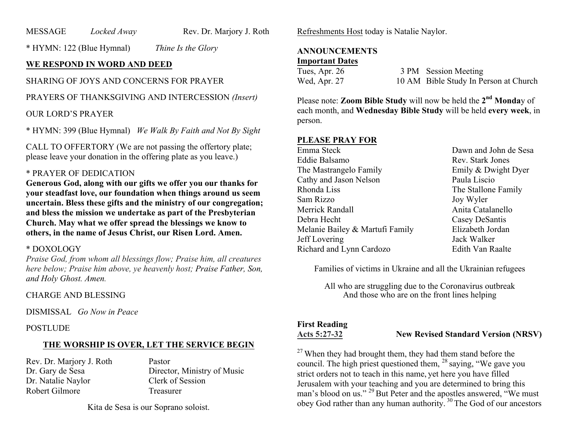MESSAGE *Locked Away* Rev. Dr. Marjory J. Roth

\* HYMN: 122 (Blue Hymnal) *Thine Is the Glory*

# **WE RESPOND IN WORD AND DEED**

# SHARING OF JOYS AND CONCERNS FOR PRAYER

PRAYERS OF THANKSGIVING AND INTERCESSION *(Insert)*

#### OUR LORD'S PRAYER

\* HYMN: 399 (Blue Hymnal) *We Walk By Faith and Not By Sight*

CALL TO OFFERTORY (We are not passing the offertory plate; please leave your donation in the offering plate as you leave.)

# \* PRAYER OF DEDICATION

**Generous God, along with our gifts we offer you our thanks for your steadfast love, our foundation when things around us seem uncertain. Bless these gifts and the ministry of our congregation; and bless the mission we undertake as part of the Presbyterian Church. May what we offer spread the blessings we know to others, in the name of Jesus Christ, our Risen Lord. Amen.**

#### \* DOXOLOGY

*Praise God, from whom all blessings flow; Praise him, all creatures here below; Praise him above, ye heavenly host; Praise Father, Son, and Holy Ghost. Amen.*

#### CHARGE AND BLESSING

DISMISSAL *Go Now in Peace*

#### POSTLUDE

# **THE WORSHIP IS OVER, LET THE SERVICE BEGIN**

Rev. Dr. Marjory J. Roth Pastor Dr. Natalie Naylor Clerk of Session Robert Gilmore Treasurer

Dr. Gary de Sesa Director, Ministry of Music

Kita de Sesa is our Soprano soloist.

Refreshments Host today is Natalie Naylor.

#### **ANNOUNCEMENTS Important Dates**

| Tues, Apr. 26 | 3 PM Session Meeting                  |
|---------------|---------------------------------------|
| Wed, Apr. 27  | 10 AM Bible Study In Person at Church |

Please note: **Zoom Bible Study** will now be held the **2nd Monda**y of each month, and **Wednesday Bible Study** will be held **every week**, in person.

## **PLEASE PRAY FOR**

Emma Steck Dawn and John de Sesa Eddie Balsamo Rev. Stark Jones The Mastrangelo Family **Emily & Dwight Dyer** Cathy and Jason Nelson Paula Liscio Rhonda Liss The Stallone Family Sam Rizzo Joy Wyler Merrick Randall **Anita** Catalanello Debra Hecht Casey DeSantis Melanie Bailey & Martufi Family Elizabeth Jordan Jeff Lovering Jack Walker Richard and Lynn Cardozo Edith Van Raalte

Families of victims in Ukraine and all the Ukrainian refugees

All who are struggling due to the Coronavirus outbreak And those who are on the front lines helping

# **First Reading**

**Acts 5:27-32 New Revised Standard Version (NRSV)**

 $27$  When they had brought them, they had them stand before the council. The high priest questioned them, <sup>28</sup> saying, "We gave you strict orders not to teach in this name, yet here you have filled Jerusalem with your teaching and you are determined to bring this man's blood on us." <sup>29</sup> But Peter and the apostles answered, "We must obey God rather than any human authority. <sup>30</sup> The God of our ancestors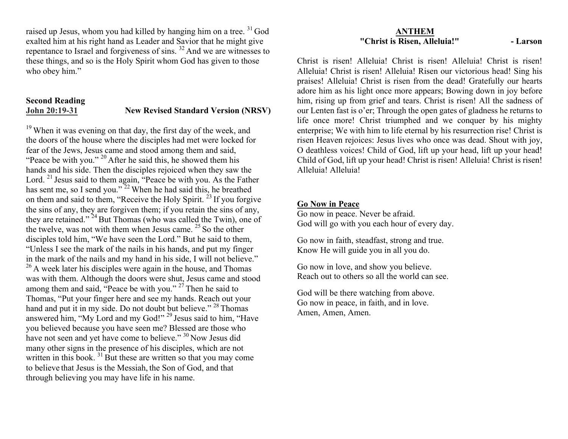raised up Jesus, whom you had killed by hanging him on a tree.<sup>31</sup> God exalted him at his right hand as Leader and Savior that he might give repentance to Israel and forgiveness of sins. <sup>32</sup> And we are witnesses to these things, and so is the Holy Spirit whom God has given to those who obey him."

# **Second Reading John 20:19-31 New Revised Standard Version (NRSV)**

<sup>19</sup> When it was evening on that day, the first day of the week, and the doors of the house where the disciples had met were locked for fear of the Jews, Jesus came and stood among them and said, "Peace be with you."  $20$  After he said this, he showed them his hands and his side. Then the disciples rejoiced when they saw the Lord.<sup>21</sup> Jesus said to them again, "Peace be with you. As the Father has sent me, so I send you."<sup>22</sup> When he had said this, he breathed on them and said to them, "Receive the Holy Spirit.<sup> $23$ </sup> If you forgive the sins of any, they are forgiven them; if you retain the sins of any, they are retained."  $24$  But Thomas (who was called the Twin), one of the twelve, was not with them when Jesus came. <sup>25</sup> So the other disciples told him, "We have seen the Lord." But he said to them, "Unless I see the mark of the nails in his hands, and put my finger in the mark of the nails and my hand in his side, I will not believe."  $26$  A week later his disciples were again in the house, and Thomas was with them. Although the doors were shut, Jesus came and stood among them and said, "Peace be with you." <sup>27</sup> Then he said to Thomas, "Put your finger here and see my hands. Reach out your hand and put it in my side. Do not doubt but believe."<sup>28</sup> Thomas answered him, "My Lord and my God!" <sup>29</sup> Jesus said to him, "Have you believed because you have seen me? Blessed are those who have not seen and yet have come to believe." <sup>30</sup> Now Jesus did many other signs in the presence of his disciples, which are not written in this book.<sup>31</sup> But these are written so that you may come to believe that Jesus is the Messiah, the Son of God, and that through believing you may have life in his name.

#### **ANTHEM "Christ is Risen, Alleluia!" - Larson**

Christ is risen! Alleluia! Christ is risen! Alleluia! Christ is risen! Alleluia! Christ is risen! Alleluia! Risen our victorious head! Sing his praises! Alleluia! Christ is risen from the dead! Gratefully our hearts adore him as his light once more appears; Bowing down in joy before him, rising up from grief and tears. Christ is risen! All the sadness of our Lenten fast is o'er; Through the open gates of gladness he returns to life once more! Christ triumphed and we conquer by his mighty enterprise; We with him to life eternal by his resurrection rise! Christ is risen Heaven rejoices: Jesus lives who once was dead. Shout with joy, O deathless voices! Child of God, lift up your head, lift up your head! Child of God, lift up your head! Christ is risen! Alleluia! Christ is risen! Alleluia! Alleluia!

# **Go Now in Peace**

Go now in peace. Never be afraid. God will go with you each hour of every day.

Go now in faith, steadfast, strong and true. Know He will guide you in all you do.

Go now in love, and show you believe. Reach out to others so all the world can see.

God will be there watching from above. Go now in peace, in faith, and in love. Amen, Amen, Amen.